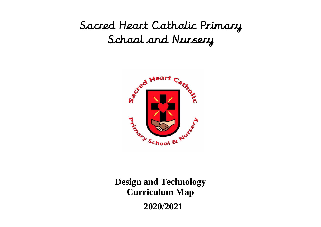## Sacred Heart Catholic Primary School and Nursery



**Design and Technology Curriculum Map 2020/2021**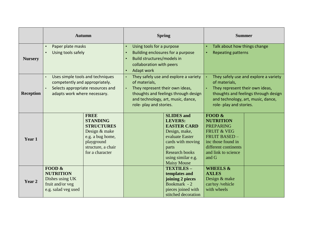|                  | <b>Autumn</b>                     |                    | <b>Spring</b>                                      |                                   | <b>Summer</b>                          |                              |  |
|------------------|-----------------------------------|--------------------|----------------------------------------------------|-----------------------------------|----------------------------------------|------------------------------|--|
|                  | Paper plate masks                 |                    | Using tools for a purpose<br>$\bullet$             |                                   |                                        | Talk about how things change |  |
|                  | Using tools safely                |                    | $\bullet$                                          | Building enclosures for a purpose |                                        | <b>Repeating patterns</b>    |  |
| <b>Nursery</b>   |                                   |                    |                                                    | Build structures/models in        |                                        |                              |  |
|                  |                                   |                    |                                                    | collaboration with peers          |                                        |                              |  |
|                  |                                   |                    | <b>Adapt work</b><br>$\bullet$                     |                                   |                                        |                              |  |
|                  | Uses simple tools and techniques  |                    | They safely use and explore a variety<br>$\bullet$ |                                   | They safely use and explore a variety  |                              |  |
| <b>Reception</b> | competently and appropriately.    |                    | of materials,                                      |                                   | of materials,                          |                              |  |
|                  | Selects appropriate resources and |                    | They represent their own ideas,<br>$\bullet$       |                                   | They represent their own ideas,        |                              |  |
|                  | adapts work where necessary.      |                    | thoughts and feelings through design               |                                   | thoughts and feelings through design   |                              |  |
|                  |                                   |                    | and technology, art, music, dance,                 |                                   | and technology, art, music, dance,     |                              |  |
|                  |                                   |                    | role- play and stories.                            |                                   | role- play and stories.                |                              |  |
|                  |                                   |                    |                                                    |                                   |                                        |                              |  |
|                  |                                   | <b>FREE</b>        |                                                    |                                   | <b>SLIDES</b> and                      | <b>FOOD &amp;</b>            |  |
|                  |                                   | <b>STANDING</b>    |                                                    |                                   | <b>LEVERS:</b>                         | <b>NUTRITION</b>             |  |
|                  |                                   | <b>STRUCTURES</b>  |                                                    |                                   | <b>EASTER CARD</b>                     | <b>PREPARING</b>             |  |
|                  |                                   | Design & make      |                                                    |                                   | Design, make,                          | <b>FRUIT &amp; VEG</b>       |  |
| Year 1           |                                   | e.g. a bug home,   |                                                    |                                   | evaluate Easter                        | <b>FRUIT BASED -</b>         |  |
|                  |                                   | playground         |                                                    |                                   | cards with moving                      | inc those found in           |  |
|                  |                                   | structure, a chair |                                                    |                                   | parts                                  | different continents         |  |
|                  |                                   | for a character    |                                                    |                                   | <b>Research books</b>                  | and link to science          |  |
|                  |                                   |                    |                                                    |                                   | using similar e.g.                     | and G                        |  |
|                  | FOOD &                            |                    |                                                    |                                   | <b>Maisy Mouse</b><br><b>TEXTILES-</b> | <b>WHEELS &amp;</b>          |  |
|                  | <b>NUTRITION</b>                  |                    |                                                    |                                   |                                        | <b>AXLES</b>                 |  |
| Year 2           | Dishes using UK                   |                    |                                                    |                                   | templates and                          | Design & make                |  |
|                  | fruit and/or veg                  |                    |                                                    |                                   | joining 2 pieces<br>Bookmark - 2       | car/toy/vehicle              |  |
|                  | e.g. salad veg used               |                    |                                                    |                                   | pieces joined with                     | with wheels                  |  |
|                  |                                   |                    |                                                    |                                   | stitched decoration                    |                              |  |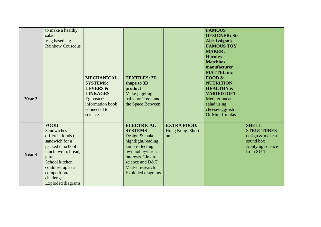|        | to make a healthy<br>salad<br>Veg based e.g.<br><b>Rainbow Couscous</b>                                                                                                                                                  |                                                                                                                                             |                                                                                                                                                                                                           |                                                 | <b>FAMOUS</b><br><b>DESIGNER: Sir</b><br><b>Alec Issigonis</b><br><b>FAMOUS TOY</b><br><b>MAKER:</b><br>Hornby/<br><b>Matchbox</b><br>manufacturer<br><b>MATTEL</b> inc |                                                                                                               |
|--------|--------------------------------------------------------------------------------------------------------------------------------------------------------------------------------------------------------------------------|---------------------------------------------------------------------------------------------------------------------------------------------|-----------------------------------------------------------------------------------------------------------------------------------------------------------------------------------------------------------|-------------------------------------------------|-------------------------------------------------------------------------------------------------------------------------------------------------------------------------|---------------------------------------------------------------------------------------------------------------|
| Year 3 |                                                                                                                                                                                                                          | <b>MECHANICAL</b><br><b>SYSTEMS:</b><br><b>LEVERS &amp;</b><br><b>LINKAGES</b><br>Eg poster/<br>information book<br>connected to<br>science | <b>TEXTILES: 2D</b><br>shape to 3D<br>product<br>Make juggling<br>balls for 'Leon and<br>the Space Between,                                                                                               |                                                 | FOOD $\&$<br><b>NUTRITION:</b><br><b>HEALTHY &amp;</b><br><b>VARIED DIET</b><br>Mediterranean<br>salad using<br>cheese/egg/fish<br>Or Mini frittatas                    |                                                                                                               |
| Year 4 | <b>FOOD</b><br>Sandwiches-<br>different kinds of<br>sandwich for a<br>packed or school<br>lunch: wrap, bread,<br>pitta.<br>School kitchen<br>could set up as a<br>competition/<br>challenge.<br><b>Exploded diagrams</b> |                                                                                                                                             | <b>ELECTRICAL</b><br><b>SYSTEMS</b><br>Design & make<br>nightlight/reading<br>lamp reflecting<br>own hobby/user's<br>interests. Link to<br>science and D&T<br>Market research<br><b>Exploded diagrams</b> | <b>EXTRA FOOD:</b><br>Hong Kong. Short<br>unit. |                                                                                                                                                                         | <b>SHELL</b><br><b>STRUCTURES</b><br>design & make a<br>sound box<br>Applying science<br>from SU <sub>1</sub> |